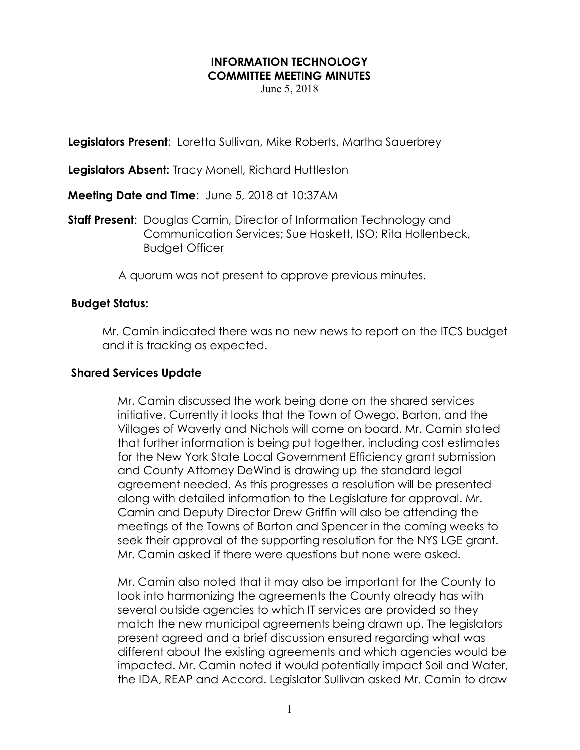#### INFORMATION TECHNOLOGY COMMITTEE MEETING MINUTES

June 5, 2018

**Legislators Present:** Loretta Sullivan, Mike Roberts, Martha Sauerbrey

Legislators Absent: Tracy Monell, Richard Huttleston

Meeting Date and Time: June 5, 2018 at 10:37AM

**Staff Present:** Douglas Camin, Director of Information Technology and Communication Services; Sue Haskett, ISO; Rita Hollenbeck, Budget Officer

A quorum was not present to approve previous minutes.

#### Budget Status:

Mr. Camin indicated there was no new news to report on the ITCS budget and it is tracking as expected.

#### Shared Services Update

Mr. Camin discussed the work being done on the shared services initiative. Currently it looks that the Town of Owego, Barton, and the Villages of Waverly and Nichols will come on board. Mr. Camin stated that further information is being put together, including cost estimates for the New York State Local Government Efficiency grant submission and County Attorney DeWind is drawing up the standard legal agreement needed. As this progresses a resolution will be presented along with detailed information to the Legislature for approval. Mr. Camin and Deputy Director Drew Griffin will also be attending the meetings of the Towns of Barton and Spencer in the coming weeks to seek their approval of the supporting resolution for the NYS LGE grant. Mr. Camin asked if there were questions but none were asked.

Mr. Camin also noted that it may also be important for the County to look into harmonizing the agreements the County already has with several outside agencies to which IT services are provided so they match the new municipal agreements being drawn up. The legislators present agreed and a brief discussion ensured regarding what was different about the existing agreements and which agencies would be impacted. Mr. Camin noted it would potentially impact Soil and Water, the IDA, REAP and Accord. Legislator Sullivan asked Mr. Camin to draw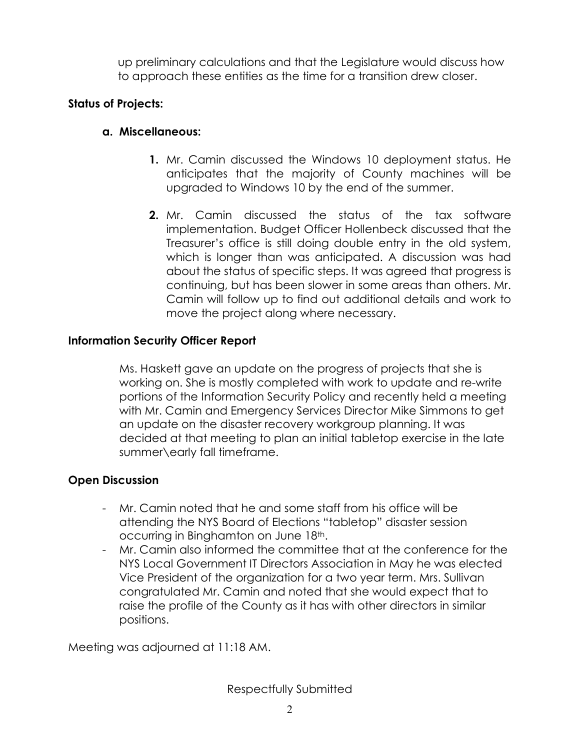up preliminary calculations and that the Legislature would discuss how to approach these entities as the time for a transition drew closer.

## Status of Projects:

### a. Miscellaneous:

- 1. Mr. Camin discussed the Windows 10 deployment status. He anticipates that the majority of County machines will be upgraded to Windows 10 by the end of the summer.
- 2. Mr. Camin discussed the status of the tax software implementation. Budget Officer Hollenbeck discussed that the Treasurer's office is still doing double entry in the old system, which is longer than was anticipated. A discussion was had about the status of specific steps. It was agreed that progress is continuing, but has been slower in some areas than others. Mr. Camin will follow up to find out additional details and work to move the project along where necessary.

# Information Security Officer Report

Ms. Haskett gave an update on the progress of projects that she is working on. She is mostly completed with work to update and re-write portions of the Information Security Policy and recently held a meeting with Mr. Camin and Emergency Services Director Mike Simmons to get an update on the disaster recovery workgroup planning. It was decided at that meeting to plan an initial tabletop exercise in the late summer\early fall timeframe.

### Open Discussion

- Mr. Camin noted that he and some staff from his office will be attending the NYS Board of Elections "tabletop" disaster session occurring in Binghamton on June 18th.
- Mr. Camin also informed the committee that at the conference for the NYS Local Government IT Directors Association in May he was elected Vice President of the organization for a two year term. Mrs. Sullivan congratulated Mr. Camin and noted that she would expect that to raise the profile of the County as it has with other directors in similar positions.

Meeting was adjourned at 11:18 AM.

Respectfully Submitted